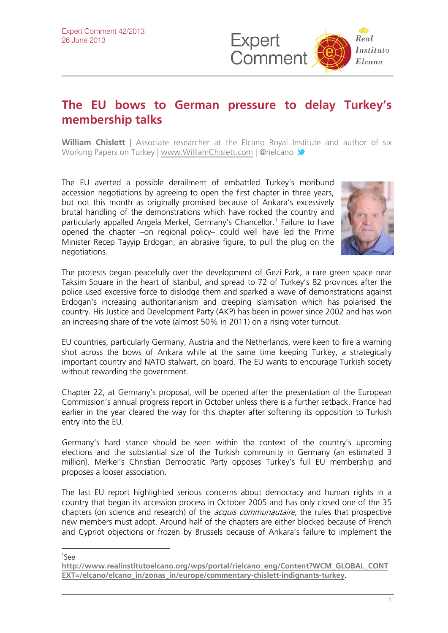

## **The EU bows to German pressure to delay Turkey's membership talks**

**William Chislett** | Associate researcher at the Elcano Royal [Instit](http://twitter.com/rielcano)ute and author of six Working Papers on Turkey | [www.WilliamChislett.com](http://www.williamchislett.com/) | @rielcano

The EU averted a possible derailment of embattled Turkey's moribund accession negotiations by agreeing to open the first chapter in three years, but not this month as originally promised because of Ankara's excessively brutal handling of the demonstrations which have rocked the country and particularly appalled Angela Merkel, Germany's Chancellor.<sup>[1](#page-0-0)</sup> Failure to have opened the chapter –on regional policy– could well have led the Prime Minister Recep Tayyip Erdogan, an abrasive figure, to pull the plug on the negotiations.



The protests began peacefully over the development of Gezi Park, a rare green space near Taksim Square in the heart of Istanbul, and spread to 72 of Turkey's 82 provinces after the police used excessive force to dislodge them and sparked a wave of demonstrations against Erdogan's increasing authoritarianism and creeping Islamisation which has polarised the country. His Justice and Development Party (AKP) has been in power since 2002 and has won an increasing share of the vote (almost 50% in 2011) on a rising voter turnout.

EU countries, particularly Germany, Austria and the Netherlands, were keen to fire a warning shot across the bows of Ankara while at the same time keeping Turkey, a strategically important country and NATO stalwart, on board. The EU wants to encourage Turkish society without rewarding the government.

Chapter 22, at Germany's proposal, will be opened after the presentation of the European Commission's annual progress report in October unless there is a further setback. France had earlier in the year cleared the way for this chapter after softening its opposition to Turkish entry into the EU.

Germany's hard stance should be seen within the context of the country's upcoming elections and the substantial size of the Turkish community in Germany (an estimated 3 million). Merkel's Christian Democratic Party opposes Turkey's full EU membership and proposes a looser association.

The last EU report highlighted serious concerns about democracy and human rights in a country that began its accession process in October 2005 and has only closed one of the 35 chapters (on science and research) of the *acquis communautaire*, the rules that prospective new members must adopt. Around half of the chapters are either blocked because of French and Cypriot objections or frozen by Brussels because of Ankara's failure to implement the

 $\overline{a}$ 1 See

<span id="page-0-0"></span>**[http://www.realinstitutoelcano.org/wps/portal/rielcano\\_eng/Content?WCM\\_GLOBAL\\_CONT](http://www.realinstitutoelcano.org/wps/portal/rielcano_eng/Content?WCM_GLOBAL_CONTEXT=/elcano/elcano_in/zonas_in/europe/commentary-chislett-indignants-turkey) [EXT=/elcano/elcano\\_in/zonas\\_in/europe/commentary-chislett-indignants-turkey](http://www.realinstitutoelcano.org/wps/portal/rielcano_eng/Content?WCM_GLOBAL_CONTEXT=/elcano/elcano_in/zonas_in/europe/commentary-chislett-indignants-turkey)**.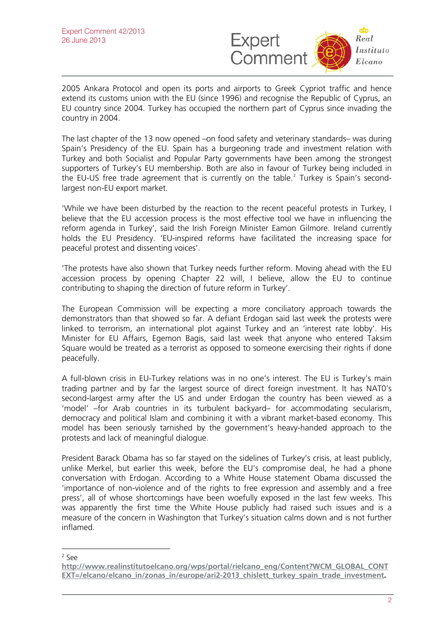

2005 Ankara Protocol and open its ports and airports to Greek Cypriot traffic and hence extend its customs union with the EU (since 1996) and recognise the Republic of Cyprus, an EU country since 2004. Turkey has occupied the northern part of Cyprus since invading the country in 2004.

The last chapter of the 13 now opened –on food safety and veterinary standards– was during Spain's Presidency of the EU. Spain has a burgeoning trade and investment relation with Turkey and both Socialist and Popular Party governments have been among the strongest supporters of Turkey's EU membership. Both are also in favour of Turkey being included in the EU-US free trade agreement that is currently on the table.<sup>[2](#page-1-0)</sup> Turkey is Spain's secondlargest non-EU export market.

'While we have been disturbed by the reaction to the recent peaceful protests in Turkey, I believe that the EU accession process is the most effective tool we have in influencing the reform agenda in Turkey', said the Irish Foreign Minister Eamon Gilmore. Ireland currently holds the EU Presidency. 'EU-inspired reforms have facilitated the increasing space for peaceful protest and dissenting voices'.

'The protests have also shown that Turkey needs further reform. Moving ahead with the EU accession process by opening Chapter 22 will, I believe, allow the EU to continue contributing to shaping the direction of future reform in Turkey'.

The European Commission will be expecting a more conciliatory approach towards the demonstrators than that showed so far. A defiant Erdogan said last week the protests were linked to terrorism, an international plot against Turkey and an 'interest rate lobby'. His Minister for EU Affairs, Egemon Bagis, said last week that anyone who entered Taksim Square would be treated as a terrorist as opposed to someone exercising their rights if done peacefully.

A full-blown crisis in EU-Turkey relations was in no one's interest. The EU is Turkey's main trading partner and by far the largest source of direct foreign investment. It has NAT0's second-largest army after the US and under Erdogan the country has been viewed as a 'model' –for Arab countries in its turbulent backyard– for accommodating secularism, democracy and political Islam and combining it with a vibrant market-based economy. This model has been seriously tarnished by the government's heavy-handed approach to the protests and lack of meaningful dialogue.

President Barack Obama has so far stayed on the sidelines of Turkey's crisis, at least publicly, unlike Merkel, but earlier this week, before the EU's compromise deal, he had a phone conversation with Erdogan. According to a White House statement Obama discussed the 'importance of non-violence and of the rights to free expression and assembly and a free press', all of whose shortcomings have been woefully exposed in the last few weeks. This was apparently the first time the White House publicly had raised such issues and is a measure of the concern in Washington that Turkey's situation calms down and is not further inflamed.

 $\overline{a}$ 2 See

<span id="page-1-0"></span>**[http://www.realinstitutoelcano.org/wps/portal/rielcano\\_eng/Content?WCM\\_GLOBAL\\_CONT](http://www.realinstitutoelcano.org/wps/portal/rielcano_eng/Content?WCM_GLOBAL_CONTEXT=/elcano/elcano_in/zonas_in/europe/ari2-2013_chislett_turkey_spain_trade_investment) [EXT=/elcano/elcano\\_in/zonas\\_in/europe/ari2-2013\\_chislett\\_turkey\\_spain\\_trade\\_investment.](http://www.realinstitutoelcano.org/wps/portal/rielcano_eng/Content?WCM_GLOBAL_CONTEXT=/elcano/elcano_in/zonas_in/europe/ari2-2013_chislett_turkey_spain_trade_investment)**